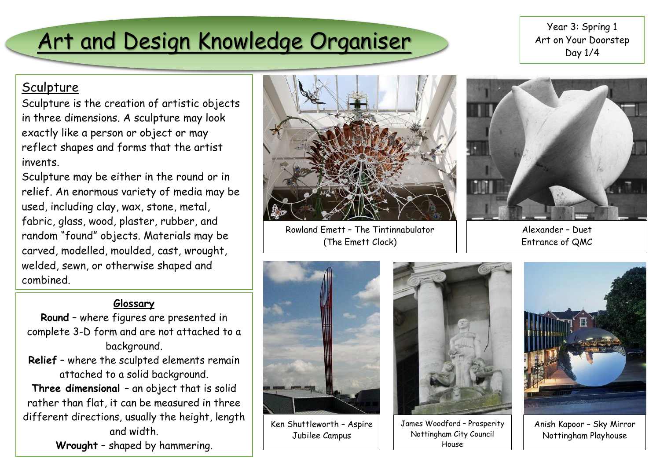# Art and Design Knowledge Organiser

Year 3: Spring 1 Art on Your Doorstep Day 1/4

### **Sculpture**

Sculpture is the creation of artistic objects in three dimensions. A sculpture may look exactly like a person or object or may reflect shapes and forms that the artist invents.

Sculpture may be either in the round or in relief. An enormous variety of media may be used, including clay, wax, stone, metal, fabric, glass, wood, plaster, rubber, and random "found" objects. Materials may be carved, modelled, moulded, cast, wrought, welded, sewn, or otherwise shaped and combined.

#### **Glossary**

- **Round** where figures are presented in complete 3-D form and are not attached to a background.
- **Relief** where the sculpted elements remain attached to a solid background.

**Three dimensional** – an object that is solid rather than flat, it can be measured in three different directions, usually the height, length and width.

**Wrought** – shaped by hammering.



Rowland Emett – The Tintinnabulator (The Emett Clock)



Alexander – Duet Entrance of QMC



Ken Shuttleworth – Aspire Jubilee Campus



James Woodford – Prosperity Nottingham City Council House



Anish Kapoor – Sky Mirror Nottingham Playhouse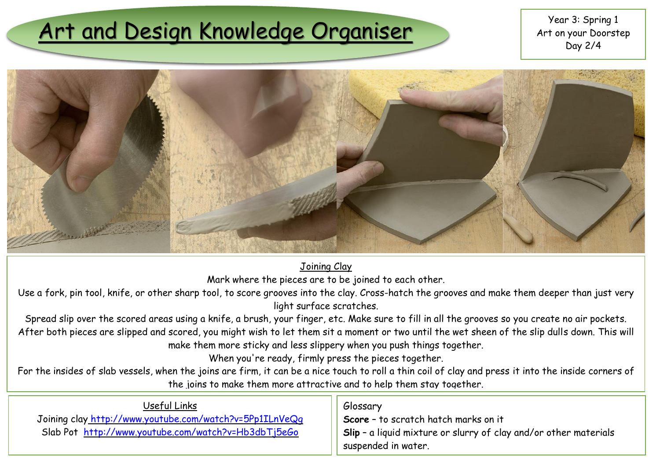# Art and Design Knowledge Organiser The Mart on your Doorst



Joining Clay

Mark where the pieces are to be joined to each other.

Use a fork, pin tool, knife, or other sharp tool, to score grooves into the clay. Cross-hatch the grooves and make them deeper than just very light surface scratches.

Spread slip over the scored areas using a knife, a brush, your finger, etc. Make sure to fill in all the grooves so you create no air pockets. After both pieces are slipped and scored, you might wish to let them sit a moment or two until the wet sheen of the slip dulls down. This will make them more sticky and less slippery when you push things together.

When you're ready, firmly press the pieces together.

For the insides of slab vessels, when the joins are firm, it can be a nice touch to roll a thin coil of clay and press it into the inside corners of the joins to make them more attractive and to help them stay together.

| Useful Links                                            | Glossary                                                            |
|---------------------------------------------------------|---------------------------------------------------------------------|
| Joining clay http://www.youtube.com/watch?v=5Pp1ILnVeQq | Score - to scratch hatch marks on it                                |
| Slab Pot http://www.youtube.com/watch?v=Hb3dbTj5eGo     | Il Slip - a liquid mixture or slurry of clay and/or other materials |
|                                                         | suspended in water.                                                 |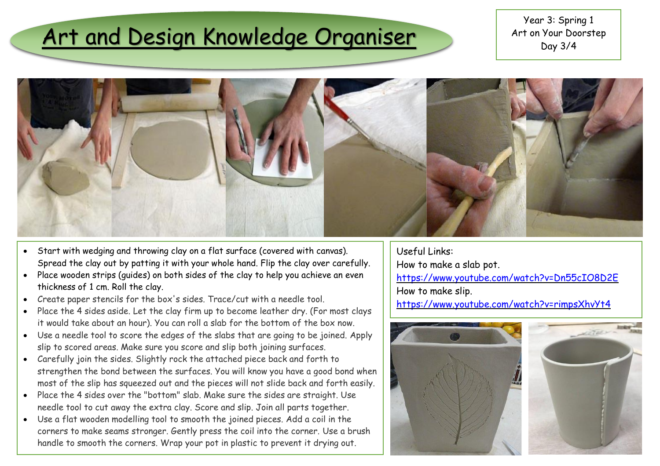### Art and Design Knowledge Organiser

Year 3: Spring 1 Art on Your Doorstep Day 3/4



- Start with wedging and throwing clay on a flat surface (covered with canvas). Spread the clay out by patting it with your whole hand. Flip the clay over carefully.
- Place wooden strips (guides) on both sides of the clay to help you achieve an even thickness of 1 cm. Roll the clay.
- Create paper stencils for the box's sides. Trace/cut with a needle tool.
- Place the 4 sides aside. Let the clay firm up to become leather dry. (For most clays it would take about an hour). You can roll a slab for the bottom of the box now.
- Use a needle tool to score the edges of the slabs that are going to be joined. Apply slip to scored areas. Make sure you score and slip both joining surfaces.
- Carefully join the sides. Slightly rock the attached piece back and forth to strengthen the bond between the surfaces. You will know you have a good bond when most of the slip has squeezed out and the pieces will not slide back and forth easily.
- Place the 4 sides over the "bottom" slab. Make sure the sides are straight. Use needle tool to cut away the extra clay. Score and slip. Join all parts together.
- Use a flat wooden modelling tool to smooth the joined pieces. Add a coil in the corners to make seams stronger. Gently press the coil into the corner. Use a brush handle to smooth the corners. Wrap your pot in plastic to prevent it drying out.

Useful Links: How to make a slab pot. <https://www.youtube.com/watch?v=Dn55cIO8D2E> How to make slip. <https://www.youtube.com/watch?v=rimpsXhvYt4>